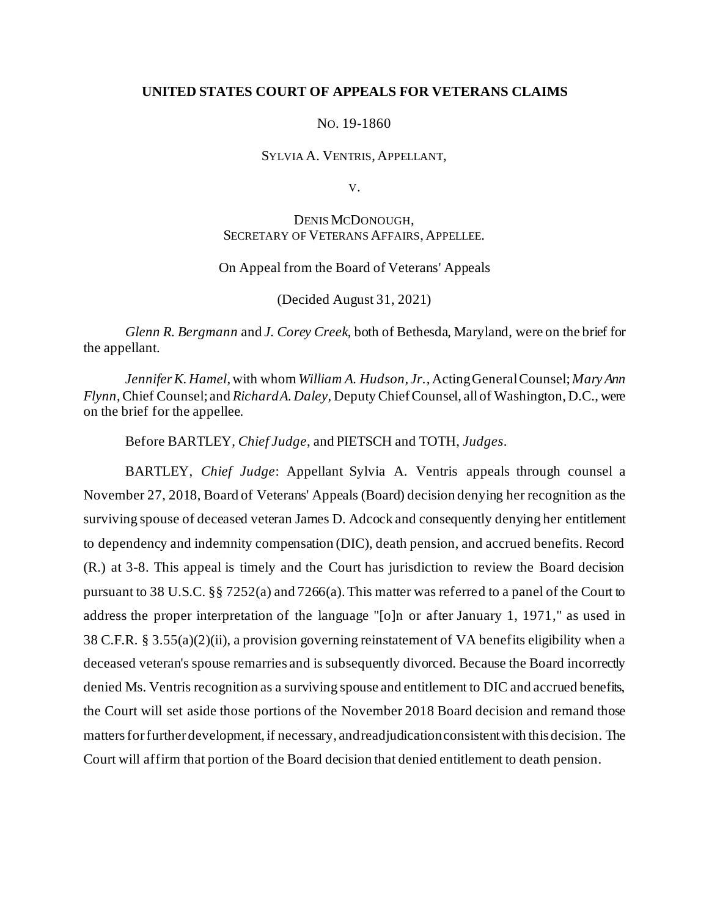## **UNITED STATES COURT OF APPEALS FOR VETERANS CLAIMS**

#### NO. 19-1860

#### SYLVIA A. VENTRIS, APPELLANT,

V.

# DENIS MCDONOUGH, SECRETARY OF VETERANS AFFAIRS, APPELLEE.

#### On Appeal from the Board of Veterans' Appeals

(Decided August 31, 2021)

*Glenn R. Bergmann* and *J. Corey Creek*, both of Bethesda, Maryland, were on the brief for the appellant.

*Jennifer K. Hamel*, with whom *William A. Hudson, Jr.*, ActingGeneral Counsel; *Mary Ann Flynn*, Chief Counsel; and *Richard A. Daley,* Deputy ChiefCounsel, all of Washington, D.C., were on the brief for the appellee.

Before BARTLEY, *Chief Judge*, and PIETSCH and TOTH, *Judges*.

BARTLEY, *Chief Judge*: Appellant Sylvia A. Ventris appeals through counsel a November 27, 2018, Board of Veterans' Appeals (Board) decision denying her recognition as the surviving spouse of deceased veteran James D. Adcock and consequently denying her entitlement to dependency and indemnity compensation (DIC), death pension, and accrued benefits. Record (R.) at 3-8. This appeal is timely and the Court has jurisdiction to review the Board decision pursuant to 38 U.S.C. §§ 7252(a) and 7266(a). This matter was referred to a panel of the Court to address the proper interpretation of the language "[o]n or after January 1, 1971," as used in 38 C.F.R. § 3.55(a)(2)(ii), a provision governing reinstatement of VA benefits eligibility when a deceased veteran's spouse remarries and is subsequently divorced. Because the Board incorrectly denied Ms. Ventris recognition as a surviving spouse and entitlement to DIC and accrued benefits, the Court will set aside those portions of the November 2018 Board decision and remand those mattersfor further development, if necessary, and readjudication consistent with this decision. The Court will affirm that portion of the Board decision that denied entitlement to death pension.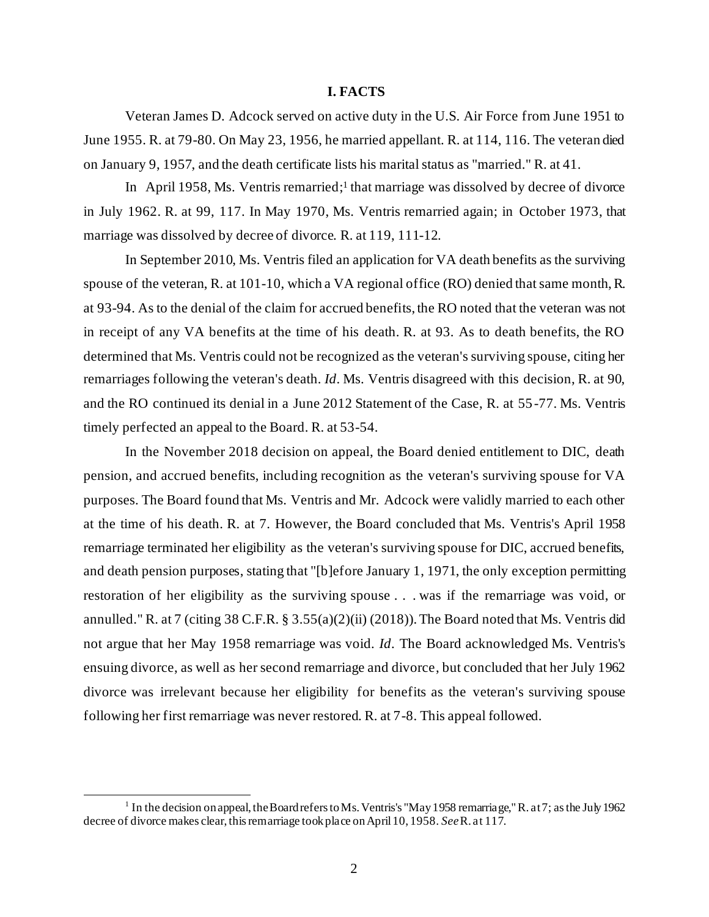#### **I. FACTS**

Veteran James D. Adcock served on active duty in the U.S. Air Force from June 1951 to June 1955. R. at 79-80. On May 23, 1956, he married appellant. R. at 114, 116. The veteran died on January 9, 1957, and the death certificate lists his marital status as "married." R. at 41.

In April 1958, Ms. Ventris remarried;<sup>1</sup> that marriage was dissolved by decree of divorce in July 1962. R. at 99, 117. In May 1970, Ms. Ventris remarried again; in October 1973, that marriage was dissolved by decree of divorce. R. at 119, 111-12.

In September 2010, Ms. Ventris filed an application for VA death benefits as the surviving spouse of the veteran, R. at 101-10, which a VA regional office (RO) denied that same month, R. at 93-94. As to the denial of the claim for accrued benefits, the RO noted that the veteran was not in receipt of any VA benefits at the time of his death. R. at 93. As to death benefits, the RO determined that Ms. Ventris could not be recognized as the veteran's surviving spouse, citing her remarriages following the veteran's death. *Id*. Ms. Ventris disagreed with this decision, R. at 90, and the RO continued its denial in a June 2012 Statement of the Case, R. at 55 -77. Ms. Ventris timely perfected an appeal to the Board. R. at 53-54.

In the November 2018 decision on appeal, the Board denied entitlement to DIC, death pension, and accrued benefits, including recognition as the veteran's surviving spouse for VA purposes. The Board found that Ms. Ventris and Mr. Adcock were validly married to each other at the time of his death. R. at 7. However, the Board concluded that Ms. Ventris's April 1958 remarriage terminated her eligibility as the veteran's surviving spouse for DIC, accrued benefits, and death pension purposes, stating that "[b]efore January 1, 1971, the only exception permitting restoration of her eligibility as the surviving spouse . . . was if the remarriage was void, or annulled." R. at 7 (citing 38 C.F.R. § 3.55(a)(2)(ii) (2018)).The Board noted that Ms. Ventris did not argue that her May 1958 remarriage was void. *Id*. The Board acknowledged Ms. Ventris's ensuing divorce, as well as her second remarriage and divorce, but concluded that her July 1962 divorce was irrelevant because her eligibility for benefits as the veteran's surviving spouse following her first remarriage was never restored. R. at 7-8. This appeal followed.

<sup>&</sup>lt;sup>1</sup> In the decision on appeal, the Board refers to Ms. Ventris's "May 1958 remarriage," R. at 7; as the July 1962 decree of divorce makes clear, this remarriage took place on April 10, 1958. *See*R. at 117.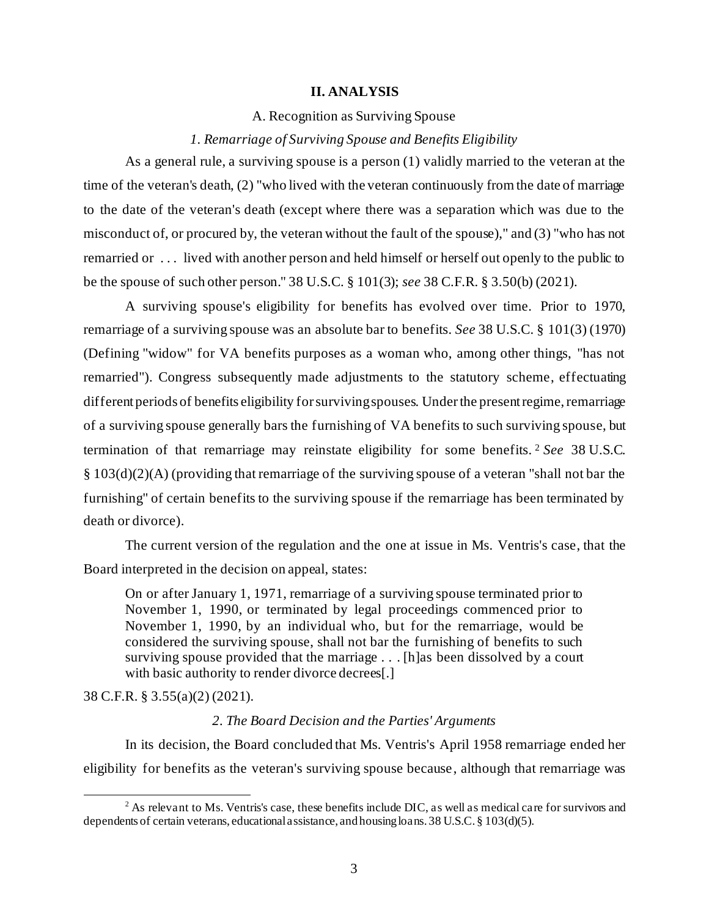#### **II. ANALYSIS**

A. Recognition as Surviving Spouse

#### *1. Remarriage of Surviving Spouse and Benefits Eligibility*

As a general rule, a surviving spouse is a person (1) validly married to the veteran at the time of the veteran's death, (2) "who lived with the veteran continuously from the date of marriage to the date of the veteran's death (except where there was a separation which was due to the misconduct of, or procured by, the veteran without the fault of the spouse)," and (3) "who has not remarried or . . . lived with another person and held himself or herself out openly to the public to be the spouse of such other person." 38 U.S.C. § 101(3); *see* 38 C.F.R. § 3.50(b) (2021).

A surviving spouse's eligibility for benefits has evolved over time. Prior to 1970, remarriage of a surviving spouse was an absolute bar to benefits. *See* 38 U.S.C. § 101(3) (1970) (Defining "widow" for VA benefits purposes as a woman who, among other things, "has not remarried"). Congress subsequently made adjustments to the statutory scheme, effectuating different periods of benefits eligibility for surviving spouses. Under the present regime, remarriage of a surviving spouse generally bars the furnishing of VA benefits to such surviving spouse, but termination of that remarriage may reinstate eligibility for some benefits. <sup>2</sup> *See* 38 U.S.C. § 103(d)(2)(A) (providing that remarriage of the surviving spouse of a veteran "shall not bar the furnishing" of certain benefits to the surviving spouse if the remarriage has been terminated by death or divorce).

The current version of the regulation and the one at issue in Ms. Ventris's case, that the Board interpreted in the decision on appeal, states:

On or after January 1, 1971, remarriage of a surviving spouse terminated prior to November 1, 1990, or terminated by legal proceedings commenced prior to November 1, 1990, by an individual who, but for the remarriage, would be considered the surviving spouse, shall not bar the furnishing of benefits to such surviving spouse provided that the marriage . . . [h]as been dissolved by a court with basic authority to render divorce decrees[.]

38 C.F.R. § 3.55(a)(2) (2021).

## *2. The Board Decision and the Parties' Arguments*

In its decision, the Board concluded that Ms. Ventris's April 1958 remarriage ended her eligibility for benefits as the veteran's surviving spouse because, although that remarriage was

<sup>&</sup>lt;sup>2</sup> As relevant to Ms. Ventris's case, these benefits include DIC, as well as medical care for survivors and dependents of certain veterans, educational assistance, and housing loans. 38 U.S.C. § 103(d)(5).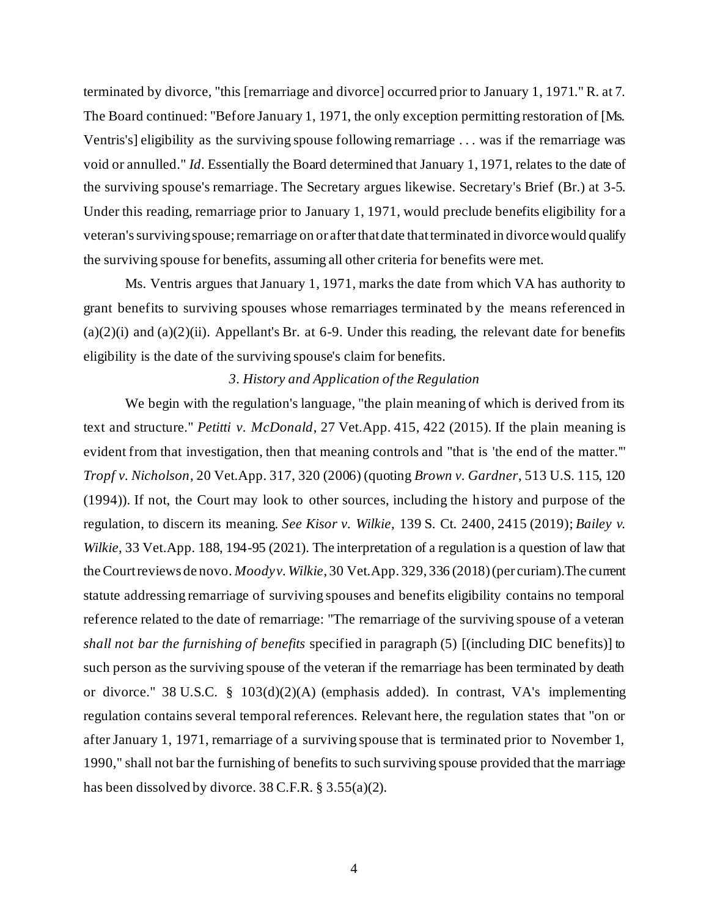terminated by divorce, "this [remarriage and divorce] occurred prior to January 1, 1971." R. at 7. The Board continued: "Before January 1, 1971, the only exception permitting restoration of [Ms. Ventris's] eligibility as the surviving spouse following remarriage . . . was if the remarriage was void or annulled." *Id*. Essentially the Board determined that January 1, 1971, relates to the date of the surviving spouse's remarriage. The Secretary argues likewise. Secretary's Brief (Br.) at 3-5. Under this reading, remarriage prior to January 1, 1971, would preclude benefits eligibility for a veteran's surviving spouse; remarriage on or after that date that terminated in divorce would qualify the surviving spouse for benefits, assuming all other criteria for benefits were met.

Ms. Ventris argues that January 1, 1971, marks the date from which VA has authority to grant benefits to surviving spouses whose remarriages terminated by the means referenced in  $(a)(2)(i)$  and  $(a)(2)(ii)$ . Appellant's Br. at 6-9. Under this reading, the relevant date for benefits eligibility is the date of the surviving spouse's claim for benefits.

#### *3. History and Application of the Regulation*

We begin with the regulation's language, "the plain meaning of which is derived from its text and structure." *Petitti v. McDonald*, 27 Vet.App. 415, 422 (2015). If the plain meaning is evident from that investigation, then that meaning controls and "that is 'the end of the matter.'" *Tropf v. Nicholson*, 20 Vet.App. 317, 320 (2006) (quoting *Brown v. Gardner*, 513 U.S. 115, 120 (1994)). If not, the Court may look to other sources, including the history and purpose of the regulation, to discern its meaning. *See Kisor v. Wilkie*, 139 S. Ct. 2400, 2415 (2019); *Bailey v. Wilkie*, 33 Vet.App. 188, 194-95 (2021). The interpretation of a regulation is a question of law that the Court reviews de novo. *Moodyv. Wilkie*, 30 Vet.App. 329, 336 (2018) (per curiam).The current statute addressing remarriage of surviving spouses and benefits eligibility contains no temporal reference related to the date of remarriage: "The remarriage of the surviving spouse of a veteran *shall not bar the furnishing of benefits* specified in paragraph (5) [(including DIC benefits)] to such person as the surviving spouse of the veteran if the remarriage has been terminated by death or divorce." 38 U.S.C. § 103(d)(2)(A) (emphasis added). In contrast, VA's implementing regulation contains several temporal references. Relevant here, the regulation states that "on or after January 1, 1971, remarriage of a surviving spouse that is terminated prior to November 1, 1990," shall not bar the furnishing of benefits to such surviving spouse provided that the marriage has been dissolved by divorce. 38 C.F.R. § 3.55(a)(2).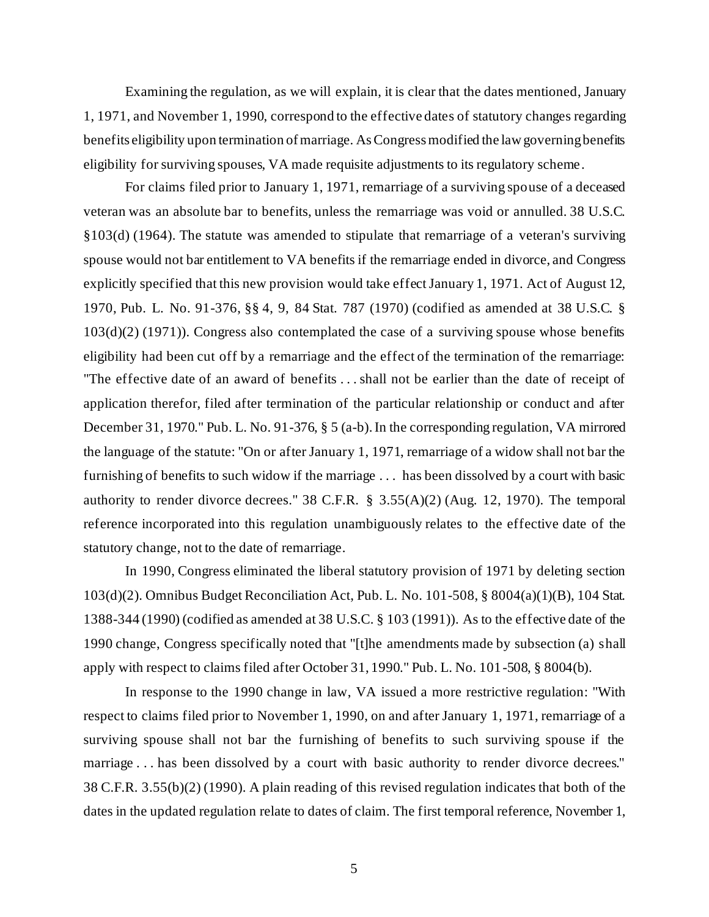Examining the regulation, as we will explain, it is clear that the dates mentioned, January 1, 1971, and November 1, 1990, correspond to the effective dates of statutory changes regarding benefits eligibility upon termination of marriage. As Congress modified the law governing benefits eligibility for surviving spouses, VA made requisite adjustments to its regulatory scheme .

For claims filed prior to January 1, 1971, remarriage of a surviving spouse of a deceased veteran was an absolute bar to benefits, unless the remarriage was void or annulled. 38 U.S.C. §103(d) (1964). The statute was amended to stipulate that remarriage of a veteran's surviving spouse would not bar entitlement to VA benefits if the remarriage ended in divorce, and Congress explicitly specified that this new provision would take effect January 1, 1971. Act of August 12, 1970, Pub. L. No. 91-376, §§ 4, 9, 84 Stat. 787 (1970) (codified as amended at 38 U.S.C. § 103(d)(2) (1971)). Congress also contemplated the case of a surviving spouse whose benefits eligibility had been cut off by a remarriage and the effect of the termination of the remarriage: "The effective date of an award of benefits . . . shall not be earlier than the date of receipt of application therefor, filed after termination of the particular relationship or conduct and after December 31, 1970." Pub. L. No. 91-376, § 5 (a-b). In the corresponding regulation, VA mirrored the language of the statute: "On or after January 1, 1971, remarriage of a widow shall not bar the furnishing of benefits to such widow if the marriage . . . has been dissolved by a court with basic authority to render divorce decrees." 38 C.F.R. § 3.55(A)(2) (Aug. 12, 1970). The temporal reference incorporated into this regulation unambiguously relates to the effective date of the statutory change, not to the date of remarriage.

In 1990, Congress eliminated the liberal statutory provision of 1971 by deleting section 103(d)(2). Omnibus Budget Reconciliation Act, Pub. L. No. 101-508, § 8004(a)(1)(B), 104 Stat. 1388-344 (1990) (codified as amended at 38 U.S.C. § 103 (1991)). As to the effective date of the 1990 change, Congress specifically noted that "[t]he amendments made by subsection (a) shall apply with respect to claims filed after October 31, 1990." Pub. L. No. 101-508, § 8004(b).

In response to the 1990 change in law, VA issued a more restrictive regulation: "With respect to claims filed prior to November 1, 1990, on and after January 1, 1971, remarriage of a surviving spouse shall not bar the furnishing of benefits to such surviving spouse if the marriage . . . has been dissolved by a court with basic authority to render divorce decrees." 38 C.F.R. 3.55(b)(2) (1990). A plain reading of this revised regulation indicates that both of the dates in the updated regulation relate to dates of claim. The first temporal reference, November 1,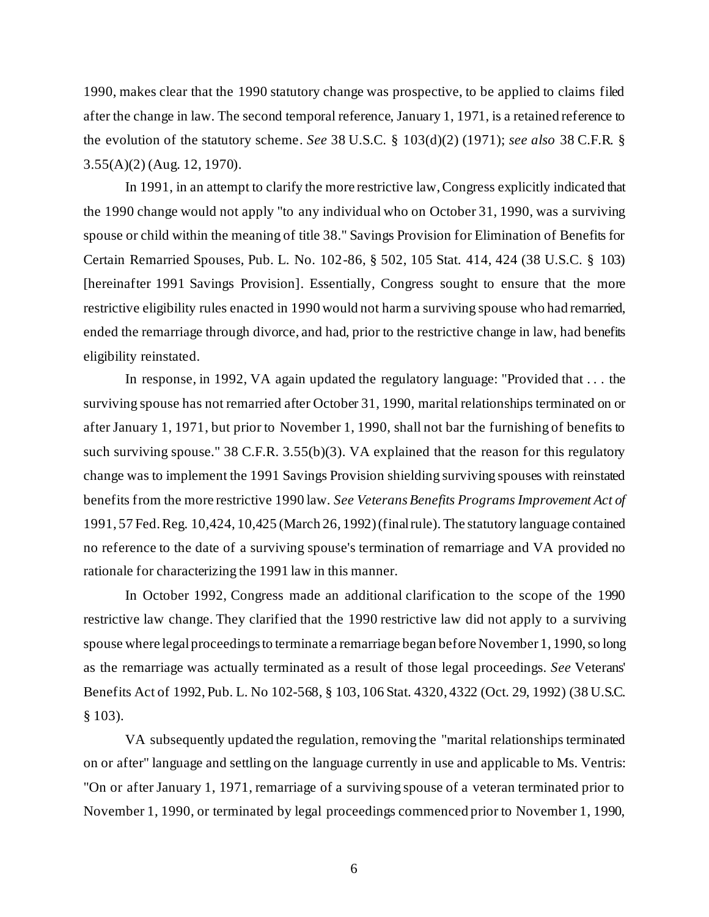1990, makes clear that the 1990 statutory change was prospective, to be applied to claims filed after the change in law. The second temporal reference, January 1, 1971, is a retained reference to the evolution of the statutory scheme. *See* 38 U.S.C. § 103(d)(2) (1971); *see also* 38 C.F.R. § 3.55(A)(2) (Aug. 12, 1970).

In 1991, in an attempt to clarify the more restrictive law, Congress explicitly indicated that the 1990 change would not apply "to any individual who on October 31, 1990, was a surviving spouse or child within the meaning of title 38." Savings Provision for Elimination of Benefits for Certain Remarried Spouses, Pub. L. No. 102-86, § 502, 105 Stat. 414, 424 (38 U.S.C. § 103) [hereinafter 1991 Savings Provision]. Essentially, Congress sought to ensure that the more restrictive eligibility rules enacted in 1990 would not harm a surviving spouse who had remarried, ended the remarriage through divorce, and had, prior to the restrictive change in law, had benefits eligibility reinstated.

In response, in 1992, VA again updated the regulatory language: "Provided that . . . the surviving spouse has not remarried after October 31, 1990, marital relationships terminated on or after January 1, 1971, but prior to November 1, 1990, shall not bar the furnishing of benefits to such surviving spouse." 38 C.F.R. 3.55(b)(3). VA explained that the reason for this regulatory change was to implement the 1991 Savings Provision shielding surviving spouses with reinstated benefits from the more restrictive 1990 law. *See Veterans Benefits Programs Improvement Act of*  1991, 57 Fed. Reg. 10,424, 10,425 (March 26, 1992) (final rule). The statutory language contained no reference to the date of a surviving spouse's termination of remarriage and VA provided no rationale for characterizing the 1991 law in this manner.

In October 1992, Congress made an additional clarification to the scope of the 1990 restrictive law change. They clarified that the 1990 restrictive law did not apply to a surviving spouse where legal proceedings to terminate a remarriage began before November 1, 1990, so long as the remarriage was actually terminated as a result of those legal proceedings. *See* Veterans' Benefits Act of 1992, Pub. L. No 102-568, § 103, 106 Stat. 4320, 4322 (Oct. 29, 1992) (38 U.S.C. § 103).

VA subsequently updated the regulation, removing the "marital relationships terminated on or after" language and settling on the language currently in use and applicable to Ms. Ventris: "On or after January 1, 1971, remarriage of a surviving spouse of a veteran terminated prior to November 1, 1990, or terminated by legal proceedings commenced prior to November 1, 1990,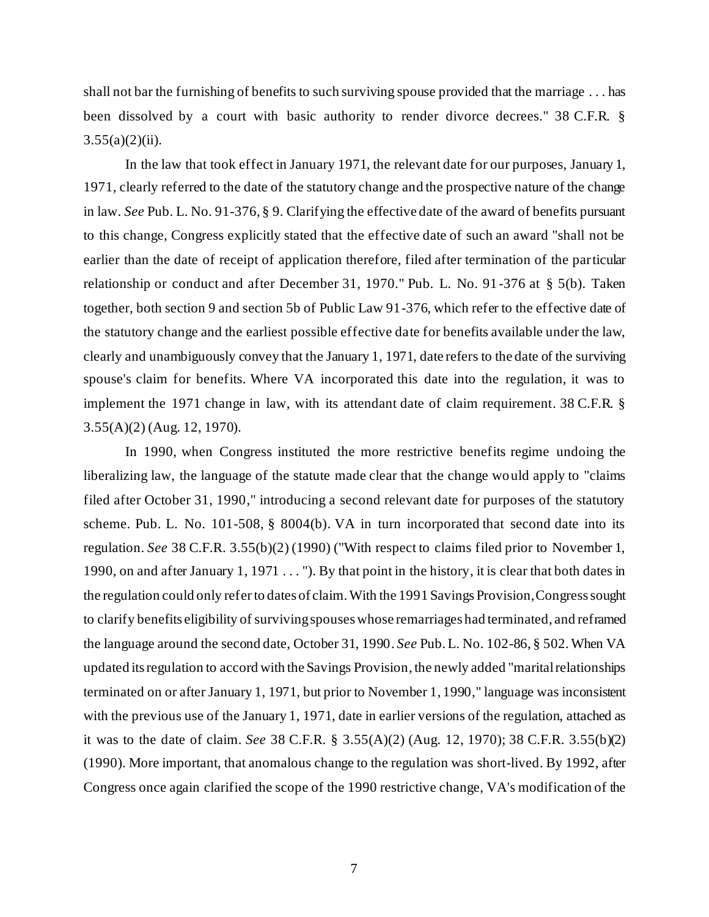shall not bar the furnishing of benefits to such surviving spouse provided that the marriage . . . has been dissolved by a court with basic authority to render divorce decrees." 38 C.F.R. §  $3.55(a)(2)(ii)$ .

In the law that took effect in January 1971, the relevant date for our purposes, January 1, 1971, clearly referred to the date of the statutory change and the prospective nature of the change in law. *See* Pub. L. No. 91-376, § 9. Clarifying the effective date of the award of benefits pursuant to this change, Congress explicitly stated that the effective date of such an award "shall not be earlier than the date of receipt of application therefore, filed after termination of the particular relationship or conduct and after December 31, 1970." Pub. L. No. 91-376 at § 5(b). Taken together, both section 9 and section 5b of Public Law 91-376, which refer to the effective date of the statutory change and the earliest possible effective date for benefits available under the law, clearly and unambiguously convey that the January 1, 1971, date refers to the date of the surviving spouse's claim for benefits. Where VA incorporated this date into the regulation, it was to implement the 1971 change in law, with its attendant date of claim requirement. 38 C.F.R. § 3.55(A)(2) (Aug. 12, 1970).

In 1990, when Congress instituted the more restrictive benefits regime undoing the liberalizing law, the language of the statute made clear that the change would apply to "claims filed after October 31, 1990," introducing a second relevant date for purposes of the statutory scheme. Pub. L. No. 101-508, § 8004(b). VA in turn incorporated that second date into its regulation. *See* 38 C.F.R. 3.55(b)(2) (1990) ("With respect to claims filed prior to November 1, 1990, on and after January 1, 1971 . . . "). By that point in the history, it is clear that both dates in the regulation could only referto dates of claim. With the 1991 Savings Provision, Congress sought to clarify benefits eligibility of surviving spouses whose remarriages had terminated, and reframed the language around the second date, October 31, 1990. *See* Pub. L. No. 102-86, § 502. When VA updated its regulation to accord with the Savings Provision, the newly added "marital relationships terminated on or after January 1, 1971, but prior to November 1, 1990," language was inconsistent with the previous use of the January 1, 1971, date in earlier versions of the regulation, attached as it was to the date of claim. *See* 38 C.F.R. § 3.55(A)(2) (Aug. 12, 1970); 38 C.F.R. 3.55(b)(2) (1990). More important, that anomalous change to the regulation was short-lived. By 1992, after Congress once again clarified the scope of the 1990 restrictive change, VA's modification of the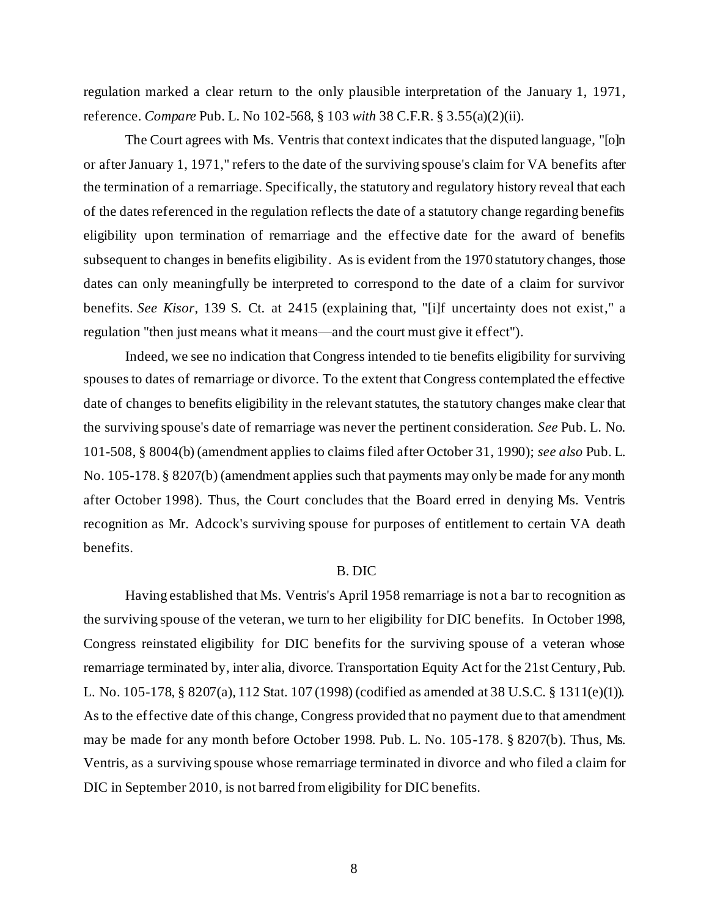regulation marked a clear return to the only plausible interpretation of the January 1, 1971, reference. *Compare* Pub. L. No 102-568, § 103 *with* 38 C.F.R. § 3.55(a)(2)(ii).

The Court agrees with Ms. Ventris that context indicates that the disputed language, "[o]n or after January 1, 1971," refers to the date of the surviving spouse's claim for VA benefits after the termination of a remarriage. Specifically, the statutory and regulatory history reveal that each of the dates referenced in the regulation reflects the date of a statutory change regarding benefits eligibility upon termination of remarriage and the effective date for the award of benefits subsequent to changes in benefits eligibility. As is evident from the 1970 statutory changes, those dates can only meaningfully be interpreted to correspond to the date of a claim for survivor benefits. *See Kisor*, 139 S. Ct. at 2415 (explaining that, "[i]f uncertainty does not exist," a regulation "then just means what it means—and the court must give it effect").

Indeed, we see no indication that Congress intended to tie benefits eligibility for surviving spouses to dates of remarriage or divorce. To the extent that Congress contemplated the effective date of changes to benefits eligibility in the relevant statutes, the statutory changes make clear that the surviving spouse's date of remarriage was never the pertinent consideration. *See* Pub. L. No. 101-508, § 8004(b) (amendment applies to claims filed after October 31, 1990); *see also* Pub. L. No. 105-178. § 8207(b) (amendment applies such that payments may only be made for any month after October 1998). Thus, the Court concludes that the Board erred in denying Ms. Ventris recognition as Mr. Adcock's surviving spouse for purposes of entitlement to certain VA death benefits.

#### B. DIC

Having established that Ms. Ventris's April 1958 remarriage is not a bar to recognition as the surviving spouse of the veteran, we turn to her eligibility for DIC benefits. In October 1998, Congress reinstated eligibility for DIC benefits for the surviving spouse of a veteran whose remarriage terminated by, inter alia, divorce. Transportation Equity Act for the 21st Century, Pub. L. No. 105-178, § 8207(a), 112 Stat. 107 (1998) (codified as amended at 38 U.S.C. § 1311(e)(1)). As to the effective date of this change, Congress provided that no payment due to that amendment may be made for any month before October 1998. Pub. L. No. 105-178. § 8207(b). Thus, Ms. Ventris, as a surviving spouse whose remarriage terminated in divorce and who filed a claim for DIC in September 2010, is not barred from eligibility for DIC benefits.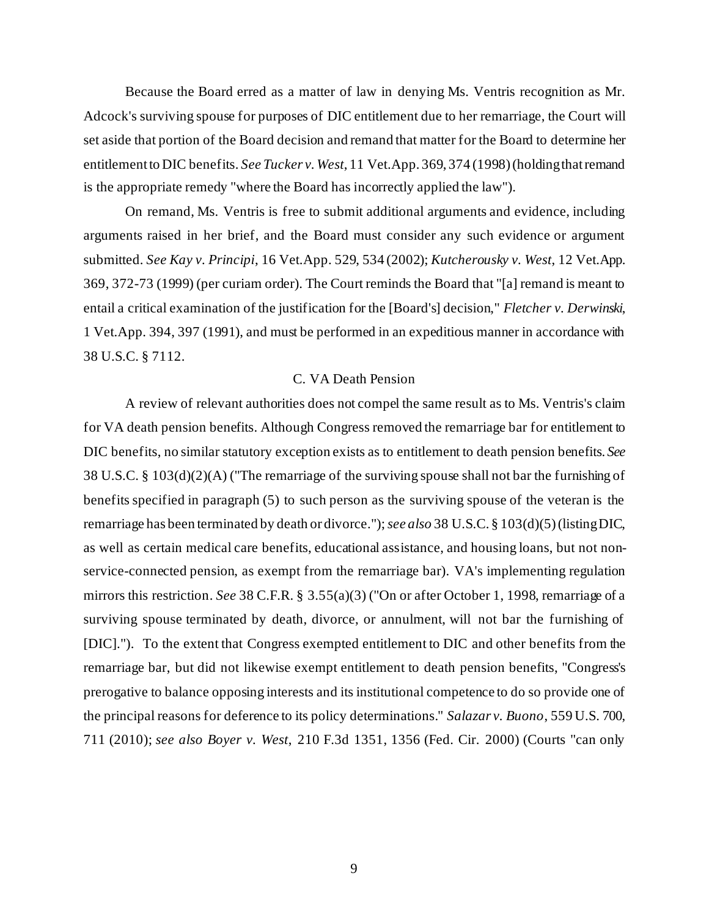Because the Board erred as a matter of law in denying Ms. Ventris recognition as Mr. Adcock's surviving spouse for purposes of DIC entitlement due to her remarriage, the Court will set aside that portion of the Board decision and remand that matter for the Board to determine her entitlement to DIC benefits. *See Tucker v. West*, 11 Vet.App. 369, 374 (1998) (holding that remand is the appropriate remedy "where the Board has incorrectly applied the law").

On remand, Ms. Ventris is free to submit additional arguments and evidence, including arguments raised in her brief, and the Board must consider any such evidence or argument submitted. *See Kay v. Principi*, 16 Vet.App. 529, 534 (2002); *Kutcherousky v. West*, 12 Vet.App. 369, 372-73 (1999) (per curiam order). The Court reminds the Board that "[a] remand is meant to entail a critical examination of the justification for the [Board's] decision," *Fletcher v. Derwinski*, 1 Vet.App. 394, 397 (1991), and must be performed in an expeditious manner in accordance with 38 U.S.C. § 7112.

#### C. VA Death Pension

A review of relevant authorities does not compel the same result as to Ms. Ventris's claim for VA death pension benefits. Although Congress removed the remarriage bar for entitlement to DIC benefits, no similar statutory exception exists as to entitlement to death pension benefits. *See*  38 U.S.C. § 103(d)(2)(A) ("The remarriage of the surviving spouse shall not bar the furnishing of benefits specified in paragraph (5) to such person as the surviving spouse of the veteran is the remarriage has been terminated by death or divorce."); *see also* 38 U.S.C. § 103(d)(5) (listing DIC, as well as certain medical care benefits, educational assistance, and housing loans, but not nonservice-connected pension, as exempt from the remarriage bar). VA's implementing regulation mirrors this restriction. *See* 38 C.F.R. § 3.55(a)(3) ("On or after October 1, 1998, remarriage of a surviving spouse terminated by death, divorce, or annulment, will not bar the furnishing of [DIC]."). To the extent that Congress exempted entitlement to DIC and other benefits from the remarriage bar, but did not likewise exempt entitlement to death pension benefits, "Congress's prerogative to balance opposing interests and its institutional competence to do so provide one of the principal reasons for deference to its policy determinations." *Salazar v. Buono*, 559 U.S. 700, 711 (2010); *see also Boyer v. West*, 210 F.3d 1351, 1356 (Fed. Cir. 2000) (Courts "can only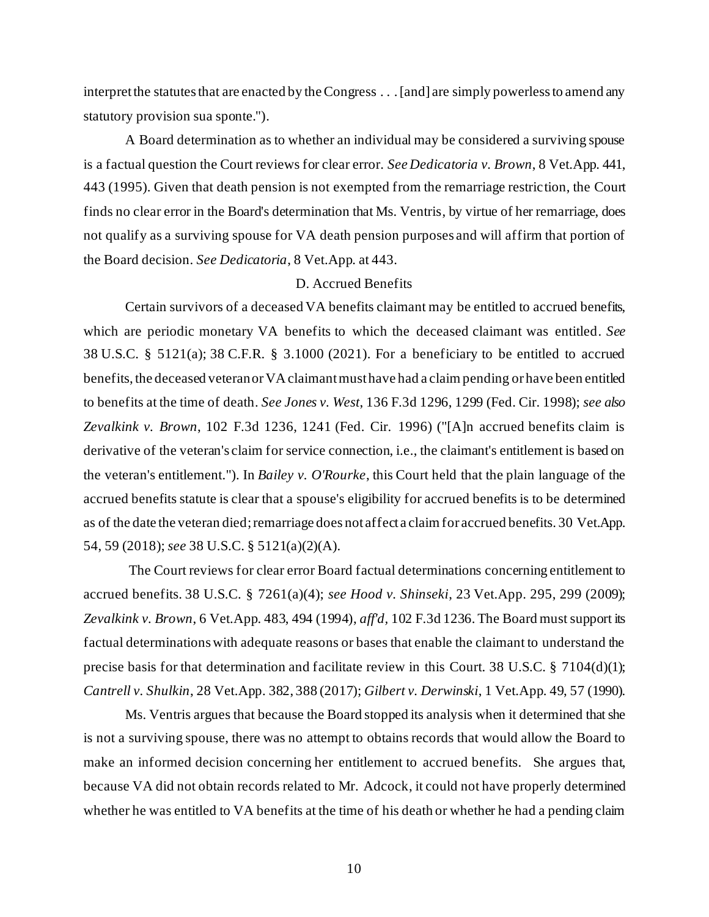interpret the statutes that are enacted by the Congress . . . [and] are simply powerless to amend any statutory provision sua sponte.").

A Board determination as to whether an individual may be considered a surviving spouse is a factual question the Court reviews for clear error. *See Dedicatoria v. Brown*, 8 Vet.App. 441, 443 (1995). Given that death pension is not exempted from the remarriage restriction, the Court finds no clear error in the Board's determination that Ms. Ventris, by virtue of her remarriage, does not qualify as a surviving spouse for VA death pension purposes and will affirm that portion of the Board decision. *See Dedicatoria*, 8 Vet.App. at 443.

## D. Accrued Benefits

Certain survivors of a deceased VA benefits claimant may be entitled to accrued benefits, which are periodic monetary VA benefits to which the deceased claimant was entitled. *See* 38 U.S.C. § 5121(a); 38 C.F.R. § 3.1000 (2021). For a beneficiary to be entitled to accrued benefits, the deceased veteran or VA claimant must have had a claim pending or have been entitled to benefits at the time of death. *See Jones v. West*, 136 F.3d 1296, 1299 (Fed. Cir. 1998); *see also Zevalkink v. Brown*, 102 F.3d 1236, 1241 (Fed. Cir. 1996) ("[A]n accrued benefits claim is derivative of the veteran's claim for service connection, i.e., the claimant's entitlement is based on the veteran's entitlement."). In *Bailey v. O'Rourke*, this Court held that the plain language of the accrued benefits statute is clear that a spouse's eligibility for accrued benefits is to be determined as of the date the veteran died; remarriage does not affect a claim for accrued benefits. 30 Vet.App. 54, 59 (2018); *see* 38 U.S.C. § 5121(a)(2)(A).

The Court reviews for clear error Board factual determinations concerning entitlement to accrued benefits. 38 U.S.C. § 7261(a)(4); *see Hood v. Shinseki*, 23 Vet.App. 295, 299 (2009); *Zevalkink v. Brown*, 6 Vet.App. 483, 494 (1994), *aff'd,* 102 F.3d 1236. The Board must support its factual determinations with adequate reasons or bases that enable the claimant to understand the precise basis for that determination and facilitate review in this Court. 38 U.S.C. § 7104(d)(1); *Cantrell v. Shulkin*, 28 Vet.App. 382, 388 (2017); *Gilbert v. Derwinski*, 1 Vet.App. 49, 57 (1990).

Ms. Ventris argues that because the Board stopped its analysis when it determined that she is not a surviving spouse, there was no attempt to obtains records that would allow the Board to make an informed decision concerning her entitlement to accrued benefits. She argues that, because VA did not obtain records related to Mr. Adcock, it could not have properly determined whether he was entitled to VA benefits at the time of his death or whether he had a pending claim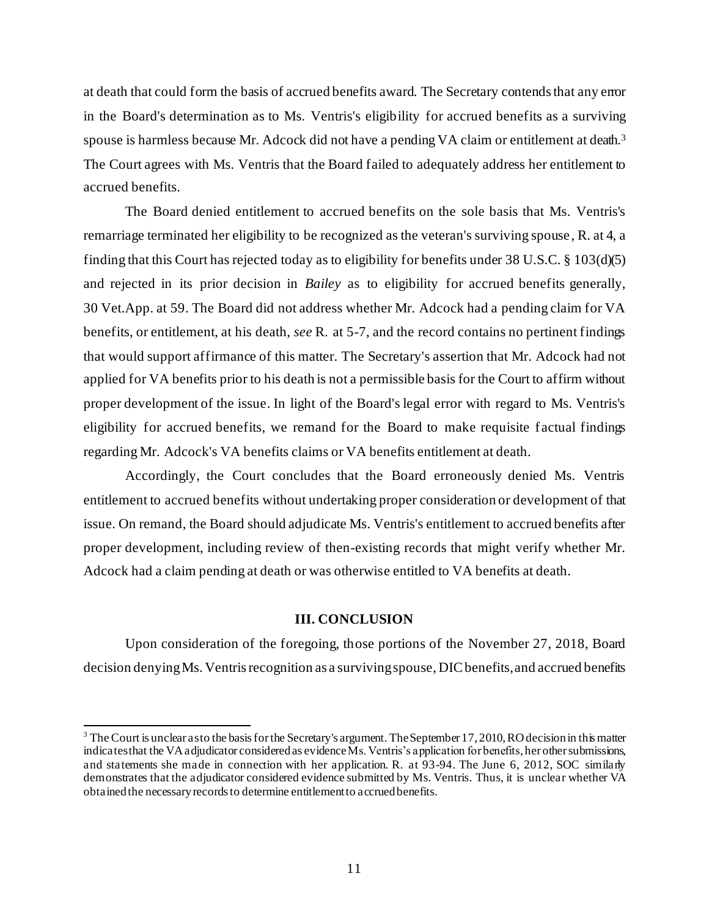at death that could form the basis of accrued benefits award. The Secretary contends that any error in the Board's determination as to Ms. Ventris's eligibility for accrued benefits as a surviving spouse is harmless because Mr. Adcock did not have a pending VA claim or entitlement at death.<sup>3</sup> The Court agrees with Ms. Ventris that the Board failed to adequately address her entitlement to accrued benefits.

The Board denied entitlement to accrued benefits on the sole basis that Ms. Ventris's remarriage terminated her eligibility to be recognized as the veteran's surviving spouse, R. at 4, a finding that this Court has rejected today as to eligibility for benefits under 38 U.S.C. § 103(d)(5) and rejected in its prior decision in *Bailey* as to eligibility for accrued benefits generally, 30 Vet.App. at 59. The Board did not address whether Mr. Adcock had a pending claim for VA benefits, or entitlement, at his death, *see* R. at 5-7, and the record contains no pertinent findings that would support affirmance of this matter. The Secretary's assertion that Mr. Adcock had not applied for VA benefits prior to his death is not a permissible basis for the Court to affirm without proper development of the issue. In light of the Board's legal error with regard to Ms. Ventris's eligibility for accrued benefits, we remand for the Board to make requisite f actual findings regarding Mr. Adcock's VA benefits claims or VA benefits entitlement at death.

Accordingly, the Court concludes that the Board erroneously denied Ms. Ventris entitlement to accrued benefits without undertaking proper consideration or development of that issue. On remand, the Board should adjudicate Ms. Ventris's entitlement to accrued benefits after proper development, including review of then-existing records that might verify whether Mr. Adcock had a claim pending at death or was otherwise entitled to VA benefits at death.

## **III. CONCLUSION**

Upon consideration of the foregoing, those portions of the November 27, 2018, Board decision denying Ms. Ventris recognition as a surviving spouse, DIC benefits, and accrued benefits

<sup>&</sup>lt;sup>3</sup> The Court is unclear as to the basis for the Secretary's argument. The September 17, 2010, RO decision in this matter indicates that the VA adjudicator considered as evidence Ms. Ventris's application for benefits, her other submissions, and statements she made in connection with her application. R. at 93-94. The June 6, 2012, SOC similarly demonstrates that the adjudicator considered evidence submitted by Ms. Ventris. Thus, it is unclear whether VA obtainedthe necessary records to determine entitlement to accrued benefits.